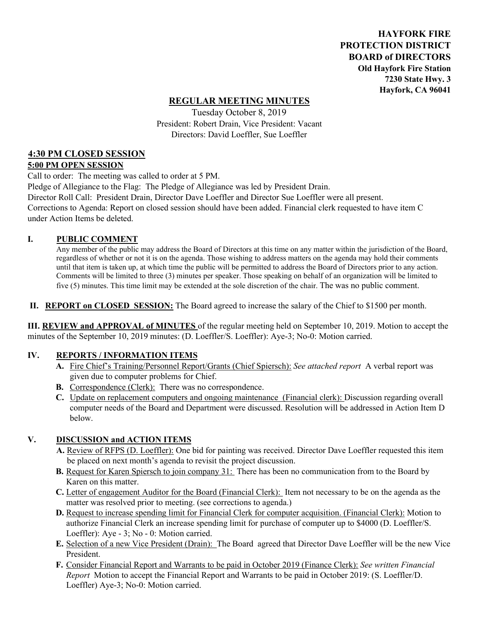**HAYFORK FIRE PROTECTION DISTRICT BOARD of DIRECTORS Old Hayfork Fire Station 7230 State Hwy. 3 Hayfork, CA 96041** 

### **REGULAR MEETING MINUTES**

Tuesday October 8, 2019 President: Robert Drain, Vice President: Vacant Directors: David Loeffler, Sue Loeffler

## **4:30 PM CLOSED SESSION**

#### **5:00 PM OPEN SESSION**

Call to order: The meeting was called to order at 5 PM.

Pledge of Allegiance to the Flag: The Pledge of Allegiance was led by President Drain. Director Roll Call: President Drain, Director Dave Loeffler and Director Sue Loeffler were all present. Corrections to Agenda: Report on closed session should have been added. Financial clerk requested to have item C under Action Items be deleted.

#### **I. PUBLIC COMMENT**

Any member of the public may address the Board of Directors at this time on any matter within the jurisdiction of the Board, regardless of whether or not it is on the agenda. Those wishing to address matters on the agenda may hold their comments until that item is taken up, at which time the public will be permitted to address the Board of Directors prior to any action. Comments will be limited to three (3) minutes per speaker. Those speaking on behalf of an organization will be limited to five (5) minutes. This time limit may be extended at the sole discretion of the chair. The was no public comment.

**II. REPORT on CLOSED SESSION:** The Board agreed to increase the salary of the Chief to \$1500 per month.

**III. REVIEW and APPROVAL of MINUTES** of the regular meeting held on September 10, 2019. Motion to accept the minutes of the September 10, 2019 minutes: (D. Loeffler/S. Loeffler): Aye-3; No-0: Motion carried.

#### **IV. REPORTS / INFORMATION ITEMS**

- **A.** Fire Chief's Training/Personnel Report/Grants (Chief Spiersch): *See attached report* A verbal report was given due to computer problems for Chief.
- **B.** Correspondence (Clerk): There was no correspondence.
- **C.** Update on replacement computers and ongoing maintenance (Financial clerk): Discussion regarding overall computer needs of the Board and Department were discussed. Resolution will be addressed in Action Item D below.

#### **V. DISCUSSION and ACTION ITEMS**

- **A.** Review of RFPS (D. Loeffler): One bid for painting was received. Director Dave Loeffler requested this item be placed on next month's agenda to revisit the project discussion.
- **B.** Request for Karen Spiersch to join company 31: There has been no communication from to the Board by Karen on this matter.
- **C.** Letter of engagement Auditor for the Board (Financial Clerk): Item not necessary to be on the agenda as the matter was resolved prior to meeting. (see corrections to agenda.)
- **D.** Request to increase spending limit for Financial Clerk for computer acquisition. (Financial Clerk): Motion to authorize Financial Clerk an increase spending limit for purchase of computer up to \$4000 (D. Loeffler/S. Loeffler): Aye - 3; No - 0: Motion carried.
- **E.** Selection of a new Vice President (Drain): The Board agreed that Director Dave Loeffler will be the new Vice President.
- **F.** Consider Financial Report and Warrants to be paid in October 2019 (Finance Clerk): *See written Financial Report* Motion to accept the Financial Report and Warrants to be paid in October 2019: (S. Loeffler/D. Loeffler) Aye-3; No-0: Motion carried.